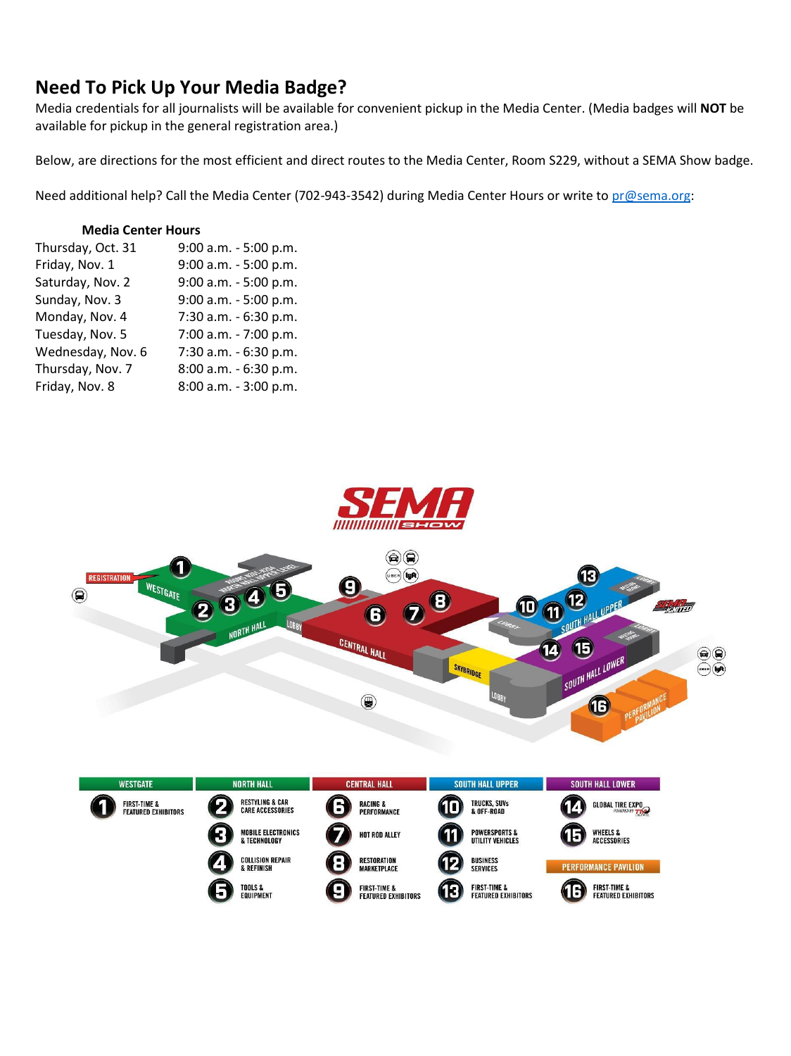# **Need To Pick Up Your Media Badge?**

Media credentials for all journalists will be available for convenient pickup in the Media Center. (Media badges will **NOT** be available for pickup in the general registration area.)

Below, are directions for the most efficient and direct routes to the Media Center, Room S229, without a SEMA Show badge.

Need additional help? Call the Media Center (702-943-3542) during Media Center Hours or write t[o pr@sema.org:](mailto:pr@sema.org)

#### **Media Center Hours**

I

| Thursday, Oct. 31 | 9:00 a.m. - 5:00 p.m. |
|-------------------|-----------------------|
| Friday, Nov. 1    | 9:00 a.m. - 5:00 p.m. |
| Saturday, Nov. 2  | 9:00 a.m. - 5:00 p.m. |
| Sunday, Nov. 3    | 9:00 a.m. - 5:00 p.m. |
| Monday, Nov. 4    | 7:30 a.m. - 6:30 p.m. |
| Tuesday, Nov. 5   | 7:00 a.m. - 7:00 p.m. |
| Wednesday, Nov. 6 | 7:30 a.m. - 6:30 p.m. |
| Thursday, Nov. 7  | 8:00 a.m. - 6:30 p.m. |
| Friday, Nov. 8    | 8:00 a.m. - 3:00 p.m. |





| <b>WESTGATE</b>                                       | <b>NORTH HALL</b>                                     | <b>CENTRAL HALL</b>                                                     | <b>SOUTH HALL UPPER</b>                                     | <b>SOUTH HALL LOWER</b>                                          |
|-------------------------------------------------------|-------------------------------------------------------|-------------------------------------------------------------------------|-------------------------------------------------------------|------------------------------------------------------------------|
| <b>FIRST-TIME &amp;</b><br><b>FEATURED EXHIBITORS</b> | <b>RESTYLING &amp; CAR</b><br><b>CARE ACCESSORIES</b> | Ы<br><b>RACING &amp;</b><br>PERFORMANCE                                 | <b>TRUCKS, SUVS</b><br>10<br>& OFF-ROAD                     | <b>GLOBAL TIRE EXPO</b><br>4                                     |
|                                                       | <b>MOBILE ELECTRONICS</b><br>& TECHNOLOGY             | HOT ROD ALLEY                                                           | <b>POWERSPORTS &amp;</b><br>ıl<br>UTILITY VEHICLES          | <b>WHEELS &amp;</b><br>15<br>ACCESSORIES                         |
|                                                       | <b>COLLISION REPAIR</b><br>& REFINISH                 | <b>RESTORATION</b><br><b>MARKETPLACE</b>                                | <b>BUSINESS</b><br>10<br><b>SERVICES</b>                    | <b>PERFORMANCE PAVILION</b>                                      |
|                                                       | <b>TOOLS &amp;</b><br><b>EQUIPMENT</b>                | <b>FIRST-TIME &amp;</b><br>$\blacksquare$<br><b>FEATURED EXHIBITORS</b> | <b>FIRST-TIME &amp;</b><br>13<br><b>FEATURED EXHIBITORS</b> | <b>FIRST-TIME &amp;</b><br>6<br>61<br><b>FEATURED EXHIBITORS</b> |